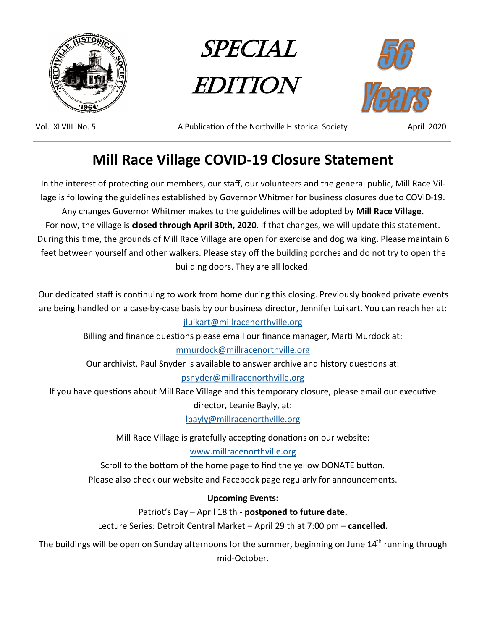





Vol. XLVIII No. 5 A Publication of the Northville Historical Society April 2020

# **Mill Race Village COVID-19 Closure Statement**

In the interest of protecting our members, our staff, our volunteers and the general public, Mill Race Village is following the guidelines established by Governor Whitmer for business closures due to COVID-19. Any changes Governor Whitmer makes to the guidelines will be adopted by **Mill Race Village.** For now, the village is **closed through April 30th, 2020**. If that changes, we will update this statement. During this time, the grounds of Mill Race Village are open for exercise and dog walking. Please maintain 6 feet between yourself and other walkers. Please stay off the building porches and do not try to open the building doors. They are all locked.

Our dedicated staff is continuing to work from home during this closing. Previously booked private events are being handled on a case-by-case basis by our business director, Jennifer Luikart. You can reach her at: [jluikart@millracenorthville.org](mailto:jluikart@millracenorthville.org)

Billing and finance questions please email our finance manager, Marti Murdock at:

## [mmurdock@millracenorthville.org](mailto:mmurdock@millracenorthville.org)

Our archivist, Paul Snyder is available to answer archive and history questions at: [psnyder@millracenorthville.org](mailto:psnyder@millracenorthville.org)

If you have questions about Mill Race Village and this temporary closure, please email our executive

director, Leanie Bayly, at:

[lbayly@millracenorthville.org](mailto:lbayly@millracenorthville.org)

Mill Race Village is gratefully accepting donations on our website:

[www.millracenorthville.org](http://www.millracenorthville.org)

Scroll to the bottom of the home page to find the yellow DONATE button. Please also check our website and Facebook page regularly for announcements.

# **Upcoming Events:**

Patriot's Day – April 18 th - **postponed to future date.**

Lecture Series: Detroit Central Market – April 29 th at 7:00 pm – **cancelled.**

The buildings will be open on Sunday afternoons for the summer, beginning on June 14<sup>th</sup> running through mid-October.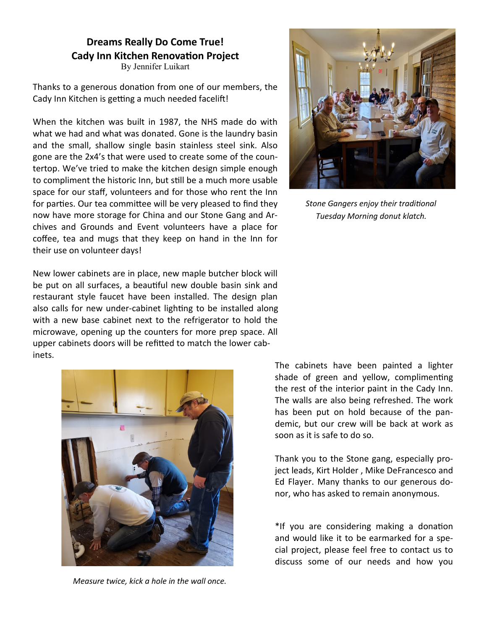# **Dreams Really Do Come True! Cady Inn Kitchen Renovation Project**

By Jennifer Luikart

Thanks to a generous donation from one of our members, the Cady Inn Kitchen is getting a much needed facelift!

When the kitchen was built in 1987, the NHS made do with what we had and what was donated. Gone is the laundry basin and the small, shallow single basin stainless steel sink. Also gone are the 2x4's that were used to create some of the countertop. We've tried to make the kitchen design simple enough to compliment the historic Inn, but still be a much more usable space for our staff, volunteers and for those who rent the Inn for parties. Our tea committee will be very pleased to find they now have more storage for China and our Stone Gang and Archives and Grounds and Event volunteers have a place for coffee, tea and mugs that they keep on hand in the Inn for their use on volunteer days!

New lower cabinets are in place, new maple butcher block will be put on all surfaces, a beautiful new double basin sink and restaurant style faucet have been installed. The design plan also calls for new under-cabinet lighting to be installed along with a new base cabinet next to the refrigerator to hold the microwave, opening up the counters for more prep space. All upper cabinets doors will be refitted to match the lower cabinets.



*Measure twice, kick a hole in the wall once.*



*Stone Gangers enjoy their traditional Tuesday Morning donut klatch.*

The cabinets have been painted a lighter shade of green and yellow, complimenting the rest of the interior paint in the Cady Inn. The walls are also being refreshed. The work has been put on hold because of the pandemic, but our crew will be back at work as soon as it is safe to do so.

Thank you to the Stone gang, especially project leads, Kirt Holder , Mike DeFrancesco and Ed Flayer. Many thanks to our generous donor, who has asked to remain anonymous.

\*If you are considering making a donation and would like it to be earmarked for a special project, please feel free to contact us to discuss some of our needs and how you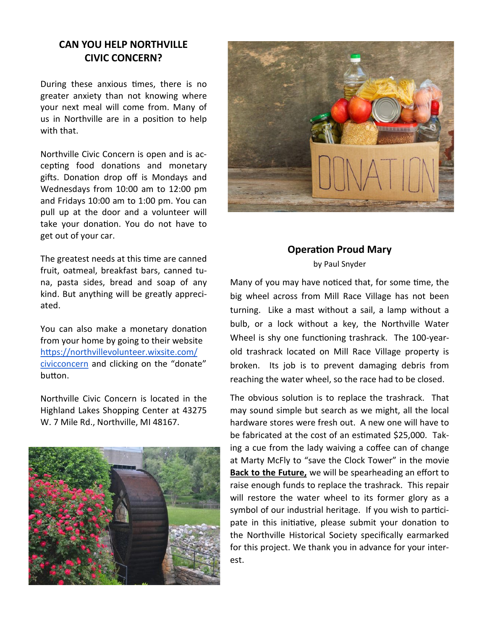## **CAN YOU HELP NORTHVILLE CIVIC CONCERN?**

During these anxious times, there is no greater anxiety than not knowing where your next meal will come from. Many of us in Northville are in a position to help with that.

Northville Civic Concern is open and is accepting food donations and monetary gifts. Donation drop off is Mondays and Wednesdays from 10:00 am to 12:00 pm and Fridays 10:00 am to 1:00 pm. You can pull up at the door and a volunteer will take your donation. You do not have to get out of your car.

The greatest needs at this time are canned fruit, oatmeal, breakfast bars, canned tuna, pasta sides, bread and soap of any kind. But anything will be greatly appreciated.

You can also make a monetary donation from your home by going to their website [https://northvillevolunteer.wixsite.com/](https://northvillevolunteer.wixsite.com/civicconcern) [civicconcern](https://northvillevolunteer.wixsite.com/civicconcern) and clicking on the "donate" button.

Northville Civic Concern is located in the Highland Lakes Shopping Center at 43275 W. 7 Mile Rd., Northville, MI 48167.





#### **Operation Proud Mary**  by Paul Snyder

Many of you may have noticed that, for some time, the big wheel across from Mill Race Village has not been turning. Like a mast without a sail, a lamp without a bulb, or a lock without a key, the Northville Water Wheel is shy one functioning trashrack. The 100-yearold trashrack located on Mill Race Village property is broken. Its job is to prevent damaging debris from reaching the water wheel, so the race had to be closed.

The obvious solution is to replace the trashrack. That may sound simple but search as we might, all the local hardware stores were fresh out. A new one will have to be fabricated at the cost of an estimated \$25,000. Taking a cue from the lady waiving a coffee can of change at Marty McFly to "save the Clock Tower" in the movie **Back to the Future,** we will be spearheading an effort to raise enough funds to replace the trashrack. This repair will restore the water wheel to its former glory as a symbol of our industrial heritage. If you wish to participate in this initiative, please submit your donation to the Northville Historical Society specifically earmarked for this project. We thank you in advance for your interest.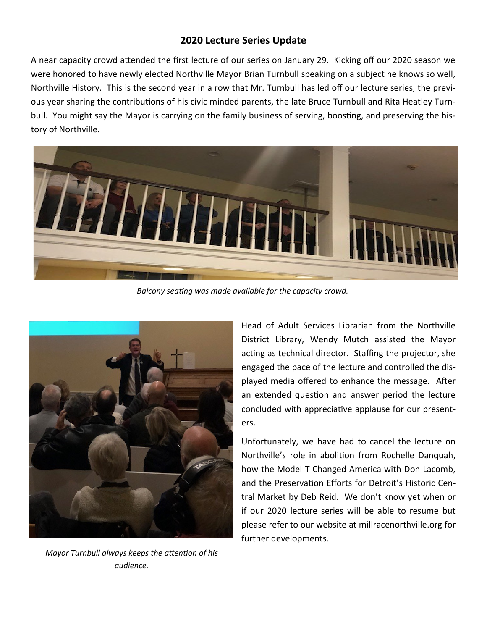## **2020 Lecture Series Update**

A near capacity crowd attended the first lecture of our series on January 29. Kicking off our 2020 season we were honored to have newly elected Northville Mayor Brian Turnbull speaking on a subject he knows so well, Northville History. This is the second year in a row that Mr. Turnbull has led off our lecture series, the previous year sharing the contributions of his civic minded parents, the late Bruce Turnbull and Rita Heatley Turnbull. You might say the Mayor is carrying on the family business of serving, boosting, and preserving the history of Northville.



*Balcony seating was made available for the capacity crowd.*



*Mayor Turnbull always keeps the attention of his audience.*

Head of Adult Services Librarian from the Northville District Library, Wendy Mutch assisted the Mayor acting as technical director. Staffing the projector, she engaged the pace of the lecture and controlled the displayed media offered to enhance the message. After an extended question and answer period the lecture concluded with appreciative applause for our presenters.

Unfortunately, we have had to cancel the lecture on Northville's role in abolition from Rochelle Danquah, how the Model T Changed America with Don Lacomb, and the Preservation Efforts for Detroit's Historic Central Market by Deb Reid. We don't know yet when or if our 2020 lecture series will be able to resume but please refer to our website at millracenorthville.org for further developments.